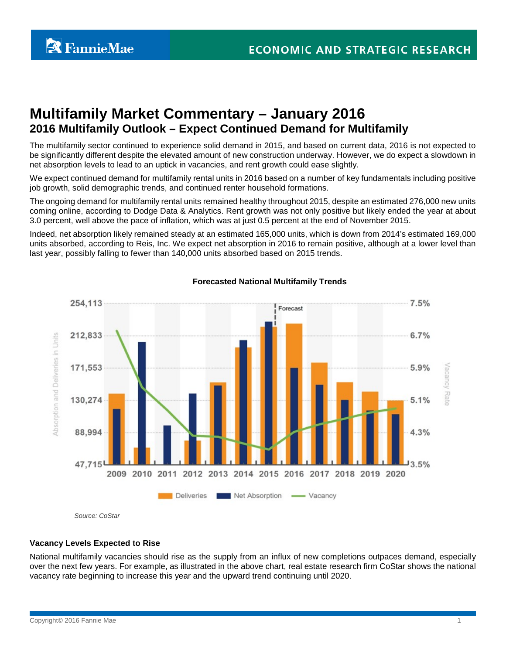# **Multifamily Market Commentary – January 2016 2016 Multifamily Outlook – Expect Continued Demand for Multifamily**

The multifamily sector continued to experience solid demand in 2015, and based on current data, 2016 is not expected to be significantly different despite the elevated amount of new construction underway. However, we do expect a slowdown in net absorption levels to lead to an uptick in vacancies, and rent growth could ease slightly.

We expect continued demand for multifamily rental units in 2016 based on a number of key fundamentals including positive job growth, solid demographic trends, and continued renter household formations.

The ongoing demand for multifamily rental units remained healthy throughout 2015, despite an estimated 276,000 new units coming online, according to Dodge Data & Analytics. Rent growth was not only positive but likely ended the year at about 3.0 percent, well above the pace of inflation, which was at just 0.5 percent at the end of November 2015.

Indeed, net absorption likely remained steady at an estimated 165,000 units, which is down from 2014's estimated 169,000 units absorbed, according to Reis, Inc. We expect net absorption in 2016 to remain positive, although at a lower level than last year, possibly falling to fewer than 140,000 units absorbed based on 2015 trends.



# **Forecasted National Multifamily Trends**

**Vacancy Levels Expected to Rise**

National multifamily vacancies should rise as the supply from an influx of new completions outpaces demand, especially over the next few years. For example, as illustrated in the above chart, real estate research firm CoStar shows the national vacancy rate beginning to increase this year and the upward trend continuing until 2020.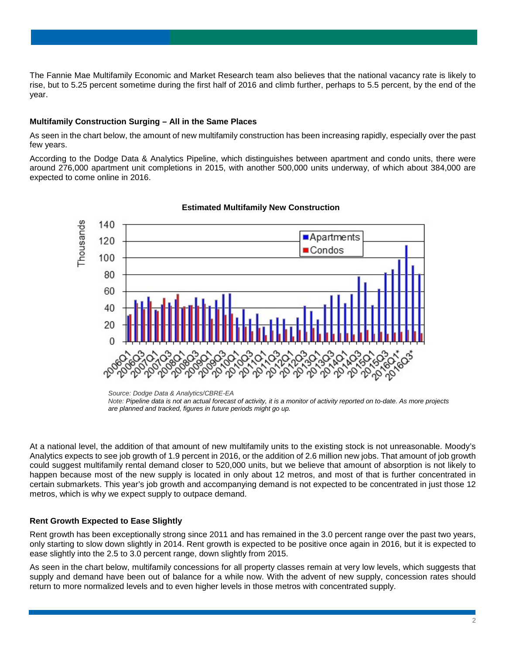The Fannie Mae Multifamily Economic and Market Research team also believes that the national vacancy rate is likely to rise, but to 5.25 percent sometime during the first half of 2016 and climb further, perhaps to 5.5 percent, by the end of the year.

## **Multifamily Construction Surging – All in the Same Places**

As seen in the chart below, the amount of new multifamily construction has been increasing rapidly, especially over the past few years.

According to the Dodge Data & Analytics Pipeline, which distinguishes between apartment and condo units, there were around 276,000 apartment unit completions in 2015, with another 500,000 units underway, of which about 384,000 are expected to come online in 2016.



## **Estimated Multifamily New Construction**

*Source: Dodge Data & Analytics/CBRE-EA*

At a national level, the addition of that amount of new multifamily units to the existing stock is not unreasonable. Moody's Analytics expects to see job growth of 1.9 percent in 2016, or the addition of 2.6 million new jobs. That amount of job growth could suggest multifamily rental demand closer to 520,000 units, but we believe that amount of absorption is not likely to happen because most of the new supply is located in only about 12 metros, and most of that is further concentrated in certain submarkets. This year's job growth and accompanying demand is not expected to be concentrated in just those 12 metros, which is why we expect supply to outpace demand.

# **Rent Growth Expected to Ease Slightly**

Rent growth has been exceptionally strong since 2011 and has remained in the 3.0 percent range over the past two years, only starting to slow down slightly in 2014. Rent growth is expected to be positive once again in 2016, but it is expected to ease slightly into the 2.5 to 3.0 percent range, down slightly from 2015.

As seen in the chart below, multifamily concessions for all property classes remain at very low levels, which suggests that supply and demand have been out of balance for a while now. With the advent of new supply, concession rates should return to more normalized levels and to even higher levels in those metros with concentrated supply.

*Note: Pipeline data is not an actual forecast of activity, it is a monitor of activity reported on to-date. As more projects are planned and tracked, figures in future periods might go up.*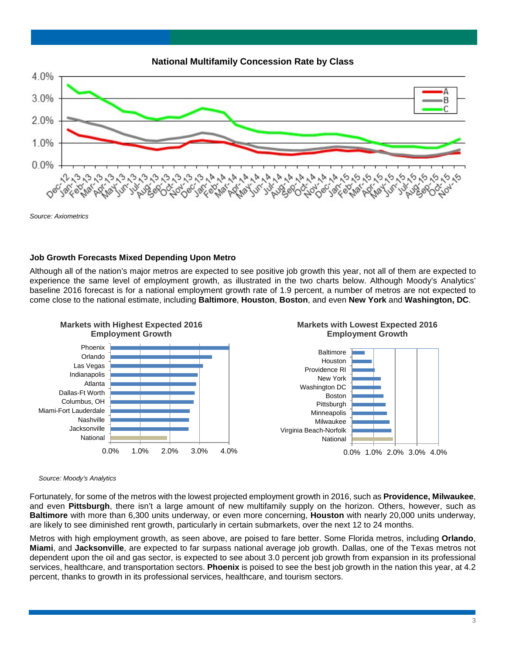

*Source: Axiometrics*

# **Job Growth Forecasts Mixed Depending Upon Metro**

Although all of the nation's major metros are expected to see positive job growth this year, not all of them are expected to experience the same level of employment growth, as illustrated in the two charts below. Although Moody's Analytics' baseline 2016 forecast is for a national employment growth rate of 1.9 percent, a number of metros are not expected to come close to the national estimate, including **Baltimore**, **Houston**, **Boston**, and even **New York** and **Washington, DC**.



#### *Source: Moody's Analytics*

Fortunately, for some of the metros with the lowest projected employment growth in 2016, such as **Providence, Milwaukee**, and even **Pittsburgh**, there isn't a large amount of new multifamily supply on the horizon. Others, however, such as **Baltimore** with more than 6,300 units underway, or even more concerning, **Houston** with nearly 20,000 units underway, are likely to see diminished rent growth, particularly in certain submarkets, over the next 12 to 24 months.

Metros with high employment growth, as seen above, are poised to fare better. Some Florida metros, including **Orlando**, **Miami**, and **Jacksonville**, are expected to far surpass national average job growth. Dallas, one of the Texas metros not dependent upon the oil and gas sector, is expected to see about 3.0 percent job growth from expansion in its professional services, healthcare, and transportation sectors. **Phoenix** is poised to see the best job growth in the nation this year, at 4.2 percent, thanks to growth in its professional services, healthcare, and tourism sectors.

#### 3